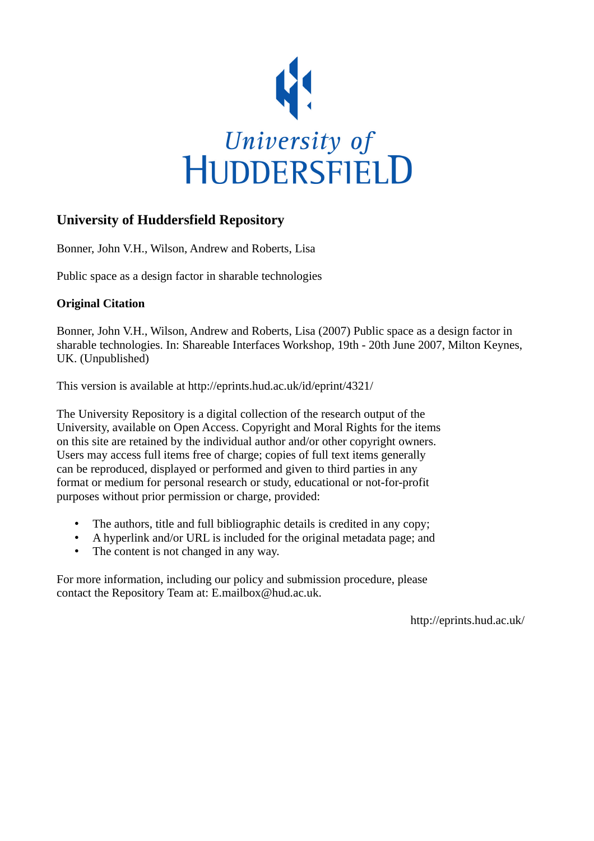

## **University of Huddersfield Repository**

Bonner, John V.H., Wilson, Andrew and Roberts, Lisa

Public space as a design factor in sharable technologies

## **Original Citation**

Bonner, John V.H., Wilson, Andrew and Roberts, Lisa (2007) Public space as a design factor in sharable technologies. In: Shareable Interfaces Workshop, 19th - 20th June 2007, Milton Keynes, UK. (Unpublished)

This version is available at http://eprints.hud.ac.uk/id/eprint/4321/

The University Repository is a digital collection of the research output of the University, available on Open Access. Copyright and Moral Rights for the items on this site are retained by the individual author and/or other copyright owners. Users may access full items free of charge; copies of full text items generally can be reproduced, displayed or performed and given to third parties in any format or medium for personal research or study, educational or not-for-profit purposes without prior permission or charge, provided:

- The authors, title and full bibliographic details is credited in any copy;
- A hyperlink and/or URL is included for the original metadata page; and
- The content is not changed in any way.

For more information, including our policy and submission procedure, please contact the Repository Team at: E.mailbox@hud.ac.uk.

http://eprints.hud.ac.uk/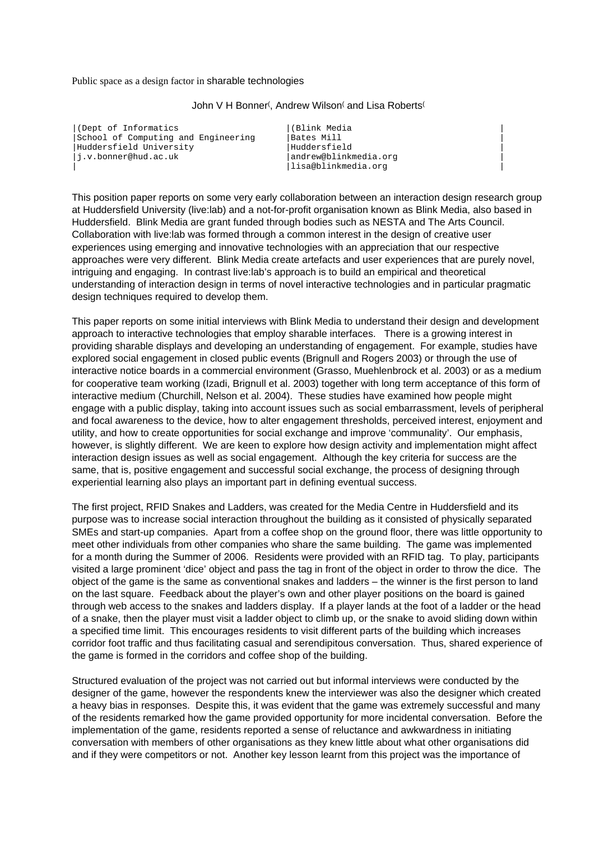Public space as a design factor in sharable technologies

## John V H Bonner<sup>(</sup>, Andrew Wilson<sup>(</sup> and Lisa Roberts<sup>(</sup>

| (Dept of Informatics)               | (Blink Media          |
|-------------------------------------|-----------------------|
| School of Computing and Engineering | Bates Mill            |
| Huddersfield University             | Huddersfield          |
| i.v.bonner@hud.ac.uk                | andrew@blinkmedia.orq |
|                                     | llisa@blinkmedia.org  |

This position paper reports on some very early collaboration between an interaction design research group at Huddersfield University (live:lab) and a not-for-profit organisation known as Blink Media, also based in Huddersfield. Blink Media are grant funded through bodies such as NESTA and The Arts Council. Collaboration with live:lab was formed through a common interest in the design of creative user experiences using emerging and innovative technologies with an appreciation that our respective approaches were very different. Blink Media create artefacts and user experiences that are purely novel, intriguing and engaging. In contrast live:lab's approach is to build an empirical and theoretical understanding of interaction design in terms of novel interactive technologies and in particular pragmatic design techniques required to develop them.

This paper reports on some initial interviews with Blink Media to understand their design and development approach to interactive technologies that employ sharable interfaces. There is a growing interest in providing sharable displays and developing an understanding of engagement. For example, studies have explored social engagement in closed public events (Brignull and Rogers 2003) or through the use of interactive notice boards in a commercial environment (Grasso, Muehlenbrock et al. 2003) or as a medium for cooperative team working (Izadi, Brignull et al. 2003) together with long term acceptance of this form of interactive medium (Churchill, Nelson et al. 2004). These studies have examined how people might engage with a public display, taking into account issues such as social embarrassment, levels of peripheral and focal awareness to the device, how to alter engagement thresholds, perceived interest, enjoyment and utility, and how to create opportunities for social exchange and improve 'communality'. Our emphasis, however, is slightly different. We are keen to explore how design activity and implementation might affect interaction design issues as well as social engagement. Although the key criteria for success are the same, that is, positive engagement and successful social exchange, the process of designing through experiential learning also plays an important part in defining eventual success.

The first project, RFID Snakes and Ladders, was created for the Media Centre in Huddersfield and its purpose was to increase social interaction throughout the building as it consisted of physically separated SMEs and start-up companies. Apart from a coffee shop on the ground floor, there was little opportunity to meet other individuals from other companies who share the same building. The game was implemented for a month during the Summer of 2006. Residents were provided with an RFID tag. To play, participants visited a large prominent 'dice' object and pass the tag in front of the object in order to throw the dice. The object of the game is the same as conventional snakes and ladders – the winner is the first person to land on the last square. Feedback about the player's own and other player positions on the board is gained through web access to the snakes and ladders display. If a player lands at the foot of a ladder or the head of a snake, then the player must visit a ladder object to climb up, or the snake to avoid sliding down within a specified time limit. This encourages residents to visit different parts of the building which increases corridor foot traffic and thus facilitating casual and serendipitous conversation. Thus, shared experience of the game is formed in the corridors and coffee shop of the building.

Structured evaluation of the project was not carried out but informal interviews were conducted by the designer of the game, however the respondents knew the interviewer was also the designer which created a heavy bias in responses. Despite this, it was evident that the game was extremely successful and many of the residents remarked how the game provided opportunity for more incidental conversation. Before the implementation of the game, residents reported a sense of reluctance and awkwardness in initiating conversation with members of other organisations as they knew little about what other organisations did and if they were competitors or not. Another key lesson learnt from this project was the importance of